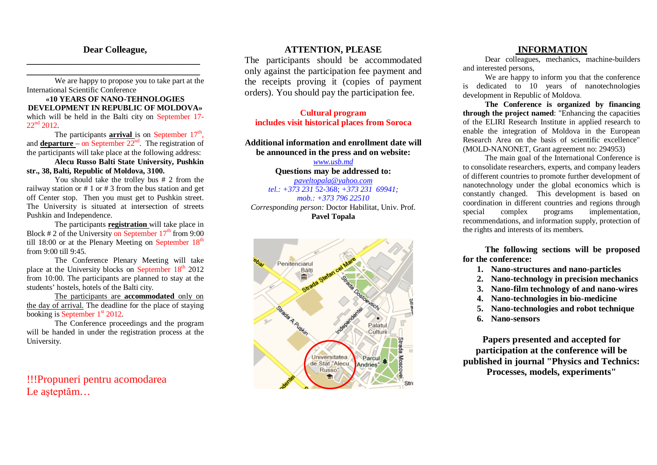## **Dear Colleague, \_\_\_\_\_\_\_\_\_\_\_\_\_\_\_\_\_\_\_\_\_\_\_\_\_\_\_\_\_\_\_\_\_\_\_\_\_**

**\_\_\_\_\_\_\_\_\_\_\_\_\_\_\_\_\_\_\_\_\_\_\_\_\_\_\_\_\_\_\_\_\_\_\_\_\_** We are happy to propose you to take part at the International Scientific Conference

**«10 YEARS OF NANO-TEHNOLOGIES DEVELOPMENT IN REPUBLIC OF MOLDOVA»** which will be held in the Balti city on September 17-  $22<sup>nd</sup> 2012.$ 

The participants **arrival** is on September 17<sup>th</sup>, and **departure** – on September 22<sup>nd</sup>. The registration of the participants will take place at the following address:

**Alecu Russo Balti State University, Pushkin str., 38, Balti, Republic of Moldova, 3100.**

You should take the trolley bus # 2 from the railway station or # 1 or # 3 from the bus station and get off Center stop. Then you must get to Pushkin street. The University is situated at intersection of streets Pushkin and Independence.

The participants **registration** will take place in Block # 2 of the University on September  $17<sup>th</sup>$  from 9:00 till 18:00 or at the Plenary Meeting on September 18<sup>th</sup> from 9:00 till 9:45.

The Conference Plenary Meeting will take place at the University blocks on September 18<sup>th</sup> 2012 from 10:00. The participants are planned to stay at the students' hostels, hotels of the Balti city.

The participants are **accommodated** only on the day of arrival. The deadline for the place of staying booking is September 1<sup>st</sup> 2012.

The Conference proceedings and the program will be handed in under the registration process at the University.

!!!Propuneri pentru acomodarea Le aşteptăm…

### **ATTENTION, PLEASE**

The participants should be accommodated only against the participation fee payment and the receipts proving it (copies of payment orders). You should pay the participation fee.

**Cultural program includes visit historical places from Soroca**

#### **Additional information and enrollment date will be announced in the press and on website:**

*www.usb.md* **Questions may be addressed to:** *paveltopala@yahoo.com tel.: +373 231* 52-368; *+373 231 69941; mob.: +373 796 22510*

*Corresponding person:* Doctor Habilitat, Univ. Prof. **Pavel Topala**



#### **INFORMATION**

Dear colleagues, mechanics, machine-builders and interested persons,

We are happy to inform you that the conference is dedicated to 10 years of nanotechnologies development in Republic of Moldova.

**The Conference is organized by financing through the project named**: "Enhancing the capacities of the ELIRI Research Institute in applied research to enable the integration of Moldova in the European Research Area on the basis of scientific excellence" (MOLD-NANONET, Grant agreement no: 294953)

The main goal of the International Conference is to consolidate researchers, experts, and company leaders of different countries to promote further development of nanotechnology under the global economics which is constantly changed. This development is based on coordination in different countries and regions through special complex programs implementation, recommendations, and information supply, protection of the rights and interests of its members.

**The following sections will be proposed for the conference:**

- **1. Nano-structures and nano-particles**
- **2. Nano-technology in precision mechanics**
- **3. Nano-film technology of and nano-wires**
- **4. Nano-technologies in bio-medicine**
- **5. Nano-technologies and robot technique**
- **6. Nano-sensors**

**Papers presented and accepted for participation at the conference will be published in journal "Physics and Technics: Processes, models, experiments"**